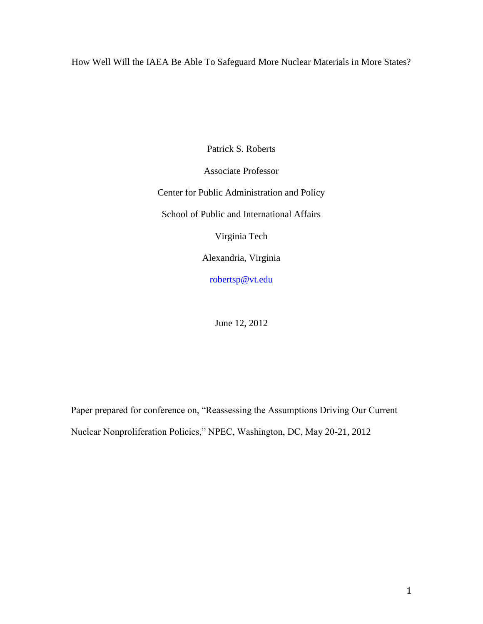How Well Will the IAEA Be Able To Safeguard More Nuclear Materials in More States?

Patrick S. Roberts

Associate Professor

Center for Public Administration and Policy

School of Public and International Affairs

Virginia Tech

Alexandria, Virginia

[robertsp@vt.edu](mailto:robertsp@vt.edu)

June 12, 2012

Paper prepared for conference on, "Reassessing the Assumptions Driving Our Current Nuclear Nonproliferation Policies," NPEC, Washington, DC, May 20-21, 2012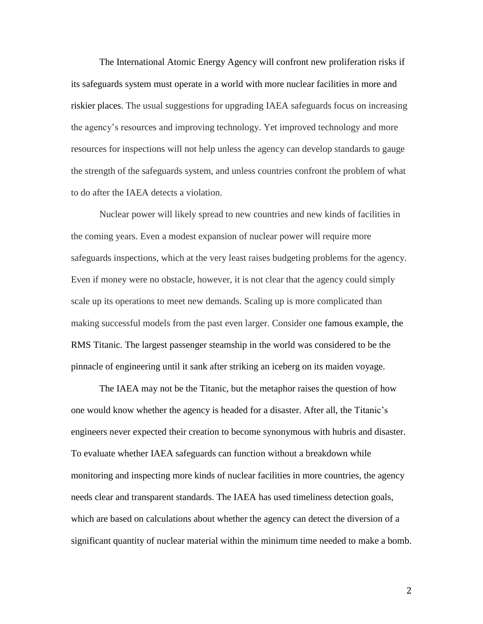The International Atomic Energy Agency will confront new proliferation risks if its safeguards system must operate in a world with more nuclear facilities in more and riskier places. The usual suggestions for upgrading IAEA safeguards focus on increasing the agency's resources and improving technology. Yet improved technology and more resources for inspections will not help unless the agency can develop standards to gauge the strength of the safeguards system, and unless countries confront the problem of what to do after the IAEA detects a violation.

Nuclear power will likely spread to new countries and new kinds of facilities in the coming years. Even a modest expansion of nuclear power will require more safeguards inspections, which at the very least raises budgeting problems for the agency. Even if money were no obstacle, however, it is not clear that the agency could simply scale up its operations to meet new demands. Scaling up is more complicated than making successful models from the past even larger. Consider one famous example, the RMS Titanic. The largest passenger steamship in the world was considered to be the pinnacle of engineering until it sank after striking an iceberg on its maiden voyage.

The IAEA may not be the Titanic, but the metaphor raises the question of how one would know whether the agency is headed for a disaster. After all, the Titanic's engineers never expected their creation to become synonymous with hubris and disaster. To evaluate whether IAEA safeguards can function without a breakdown while monitoring and inspecting more kinds of nuclear facilities in more countries, the agency needs clear and transparent standards. The IAEA has used timeliness detection goals, which are based on calculations about whether the agency can detect the diversion of a significant quantity of nuclear material within the minimum time needed to make a bomb.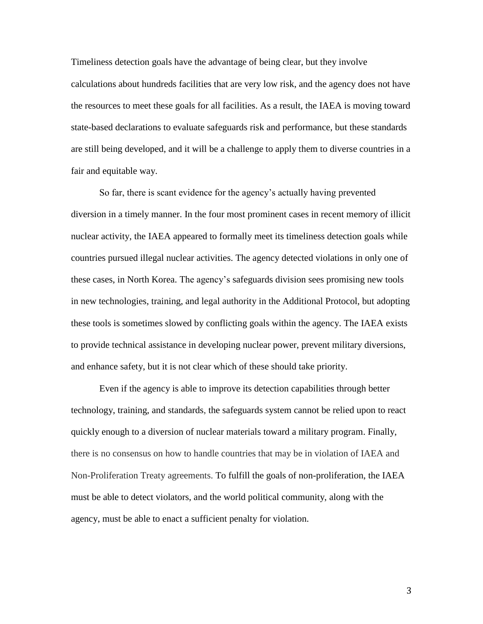Timeliness detection goals have the advantage of being clear, but they involve calculations about hundreds facilities that are very low risk, and the agency does not have the resources to meet these goals for all facilities. As a result, the IAEA is moving toward state-based declarations to evaluate safeguards risk and performance, but these standards are still being developed, and it will be a challenge to apply them to diverse countries in a fair and equitable way.

So far, there is scant evidence for the agency's actually having prevented diversion in a timely manner. In the four most prominent cases in recent memory of illicit nuclear activity, the IAEA appeared to formally meet its timeliness detection goals while countries pursued illegal nuclear activities. The agency detected violations in only one of these cases, in North Korea. The agency's safeguards division sees promising new tools in new technologies, training, and legal authority in the Additional Protocol, but adopting these tools is sometimes slowed by conflicting goals within the agency. The IAEA exists to provide technical assistance in developing nuclear power, prevent military diversions, and enhance safety, but it is not clear which of these should take priority.

Even if the agency is able to improve its detection capabilities through better technology, training, and standards, the safeguards system cannot be relied upon to react quickly enough to a diversion of nuclear materials toward a military program. Finally, there is no consensus on how to handle countries that may be in violation of IAEA and Non-Proliferation Treaty agreements. To fulfill the goals of non-proliferation, the IAEA must be able to detect violators, and the world political community, along with the agency, must be able to enact a sufficient penalty for violation.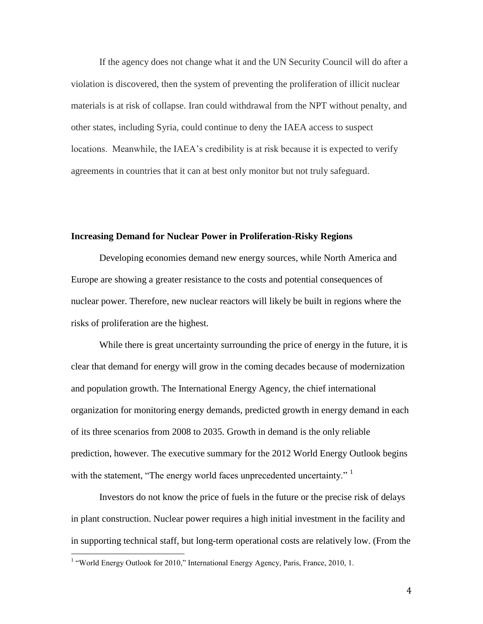If the agency does not change what it and the UN Security Council will do after a violation is discovered, then the system of preventing the proliferation of illicit nuclear materials is at risk of collapse. Iran could withdrawal from the NPT without penalty, and other states, including Syria, could continue to deny the IAEA access to suspect locations. Meanwhile, the IAEA's credibility is at risk because it is expected to verify agreements in countries that it can at best only monitor but not truly safeguard.

# **Increasing Demand for Nuclear Power in Proliferation-Risky Regions**

Developing economies demand new energy sources, while North America and Europe are showing a greater resistance to the costs and potential consequences of nuclear power. Therefore, new nuclear reactors will likely be built in regions where the risks of proliferation are the highest.

While there is great uncertainty surrounding the price of energy in the future, it is clear that demand for energy will grow in the coming decades because of modernization and population growth. The International Energy Agency, the chief international organization for monitoring energy demands, predicted growth in energy demand in each of its three scenarios from 2008 to 2035. Growth in demand is the only reliable prediction, however. The executive summary for the 2012 World Energy Outlook begins with the statement, "The energy world faces unprecedented uncertainty." <sup>1</sup>

Investors do not know the price of fuels in the future or the precise risk of delays in plant construction. Nuclear power requires a high initial investment in the facility and in supporting technical staff, but long-term operational costs are relatively low. (From the

<sup>&</sup>lt;sup>1</sup> "World Energy Outlook for 2010," International Energy Agency, Paris, France, 2010, 1.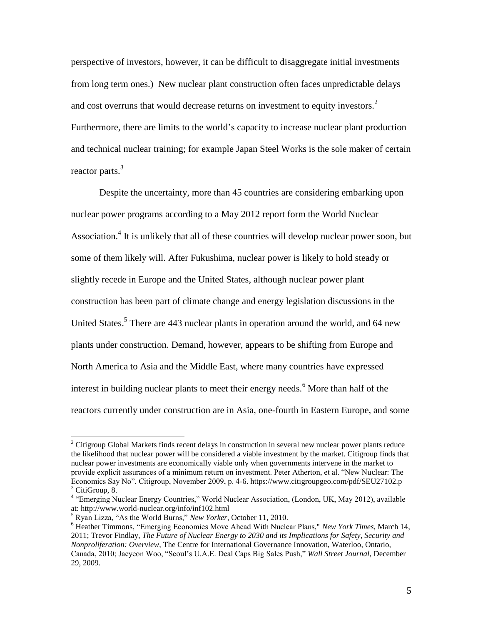perspective of investors, however, it can be difficult to disaggregate initial investments from long term ones.) New nuclear plant construction often faces unpredictable delays and cost overruns that would decrease returns on investment to equity investors.<sup>2</sup> Furthermore, there are limits to the world's capacity to increase nuclear plant production and technical nuclear training; for example Japan Steel Works is the sole maker of certain reactor parts. $3$ 

Despite the uncertainty, more than 45 countries are considering embarking upon nuclear power programs according to a May 2012 report form the World Nuclear Association.<sup>4</sup> It is unlikely that all of these countries will develop nuclear power soon, but some of them likely will. After Fukushima, nuclear power is likely to hold steady or slightly recede in Europe and the United States, although nuclear power plant construction has been part of climate change and energy legislation discussions in the United States.<sup>5</sup> There are 443 nuclear plants in operation around the world, and 64 new plants under construction. Demand, however, appears to be shifting from Europe and North America to Asia and the Middle East, where many countries have expressed interest in building nuclear plants to meet their energy needs.<sup>6</sup> More than half of the reactors currently under construction are in Asia, one-fourth in Eastern Europe, and some

l

 $2^2$  Citigroup Global Markets finds recent delays in construction in several new nuclear power plants reduce the likelihood that nuclear power will be considered a viable investment by the market. Citigroup finds that nuclear power investments are economically viable only when governments intervene in the market to provide explicit assurances of a minimum return on investment. Peter Atherton, et al. "New Nuclear: The Economics Say No". Citigroup, November 2009, p. 4-6. https://www.citigroupgeo.com/pdf/SEU27102.p  $3$  CitiGroup, 8.

<sup>&</sup>lt;sup>4</sup> "Emerging Nuclear Energy Countries," World Nuclear Association, (London, UK, May 2012), available at: http://www.world-nuclear.org/info/inf102.html

<sup>5</sup> Ryan Lizza, "As the World Burns," *New Yorker*, October 11, 2010.

<sup>6</sup> Heather Timmon[s, "Emerging Economies Move Ahead With Nuclear Plans,"](http://www.nytimes.com/2011/03/15/business/energy-environment/15power.html) *New York Times*, March 14, 2011; Trevor Findlay, *[The Future of Nuclear Energy to 2030 and its Implications for Safety, Security and](http://www.cigionline.org/sites/default/files/Nuclear%20Energy%20Futures%20Overview.pdf)  [Nonproliferation: Overview](http://www.cigionline.org/sites/default/files/Nuclear%20Energy%20Futures%20Overview.pdf)*, The Centre for International Governance Innovation, Waterloo, Ontario, Canada, 2010; Jaeyeon Woo, "Seoul's U.A.E. Deal Caps Big Sales Push," *Wall Street Journal*, December 29, 2009.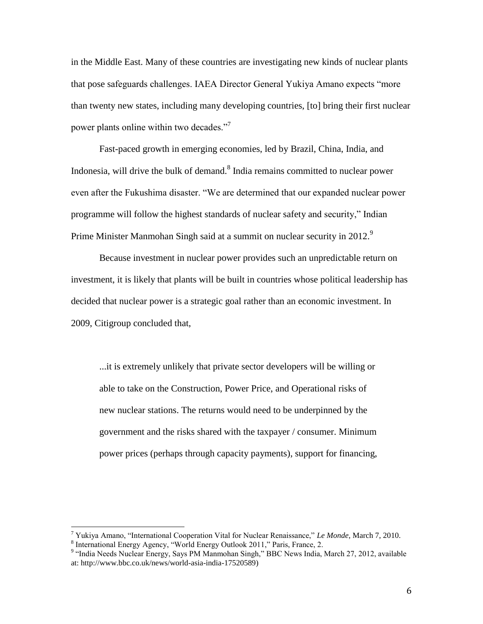in the Middle East. Many of these countries are investigating new kinds of nuclear plants that pose safeguards challenges. IAEA Director General Yukiya Amano expects "more than twenty new states, including many developing countries, [to] bring their first nuclear power plants online within two decades."<sup>7</sup>

Fast-paced growth in emerging economies, led by Brazil, China, India, and Indonesia, will drive the bulk of demand. $8$  India remains committed to nuclear power even after the Fukushima disaster. "We are determined that our expanded nuclear power programme will follow the highest standards of nuclear safety and security," Indian Prime Minister Manmohan Singh said at a summit on nuclear security in 2012.

Because investment in nuclear power provides such an unpredictable return on investment, it is likely that plants will be built in countries whose political leadership has decided that nuclear power is a strategic goal rather than an economic investment. In 2009, Citigroup concluded that,

...it is extremely unlikely that private sector developers will be willing or able to take on the Construction, Power Price, and Operational risks of new nuclear stations. The returns would need to be underpinned by the government and the risks shared with the taxpayer / consumer. Minimum power prices (perhaps through capacity payments), support for financing,

<sup>7</sup> Yukiya Amano, "International Cooperation Vital for Nuclear Renaissance," *Le Monde*, March 7, 2010.

<sup>&</sup>lt;sup>8</sup> International Energy Agency, "World Energy Outlook 2011," Paris, France, 2.<br><sup>9</sup> "India Needs Nuclear Energy, Says PM Manmohan Singh," BBC News India, March 27, 2012, available at: [http://www.bbc.co.uk/news/world-asia-india-17520589\)](http://www.bbc.co.uk/news/world-asia-india-17520589)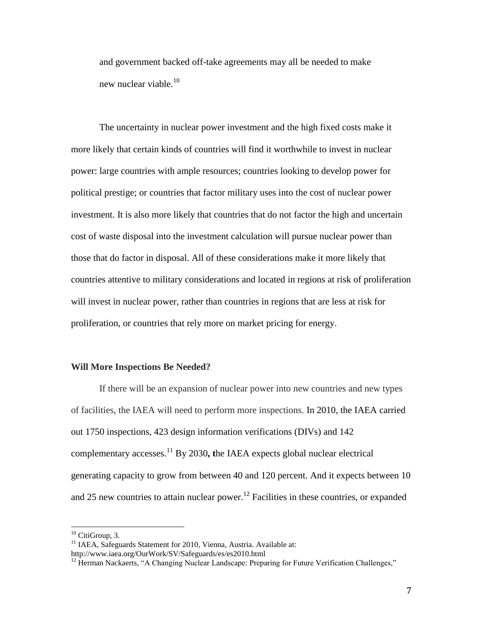and government backed off-take agreements may all be needed to make new nuclear viable. $10<sup>10</sup>$ 

The uncertainty in nuclear power investment and the high fixed costs make it more likely that certain kinds of countries will find it worthwhile to invest in nuclear power: large countries with ample resources; countries looking to develop power for political prestige; or countries that factor military uses into the cost of nuclear power investment. It is also more likely that countries that do not factor the high and uncertain cost of waste disposal into the investment calculation will pursue nuclear power than those that do factor in disposal. All of these considerations make it more likely that countries attentive to military considerations and located in regions at risk of proliferation will invest in nuclear power, rather than countries in regions that are less at risk for proliferation, or countries that rely more on market pricing for energy.

### **Will More Inspections Be Needed?**

If there will be an expansion of nuclear power into new countries and new types of facilities, the IAEA will need to perform more inspections. In 2010, the IAEA carried out 1750 inspections, 423 design information verifications (DIVs) and 142 complementary accesses. <sup>11</sup> By 2030**, t**he IAEA expects global nuclear electrical generating capacity to grow from between 40 and 120 percent. And it expects between 10 and 25 new countries to attain nuclear power.<sup>12</sup> Facilities in these countries, or expanded

 $10$  CitiGroup, 3.

<sup>&</sup>lt;sup>11</sup> IAEA, Safeguards Statement for 2010, Vienna, Austria. Available at: http://www.iaea.org/OurWork/SV/Safeguards/es/es2010.html

<sup>&</sup>lt;sup>12</sup> Herman Nackaerts, "A Changing Nuclear Landscape: Preparing for Future Verification Challenges,"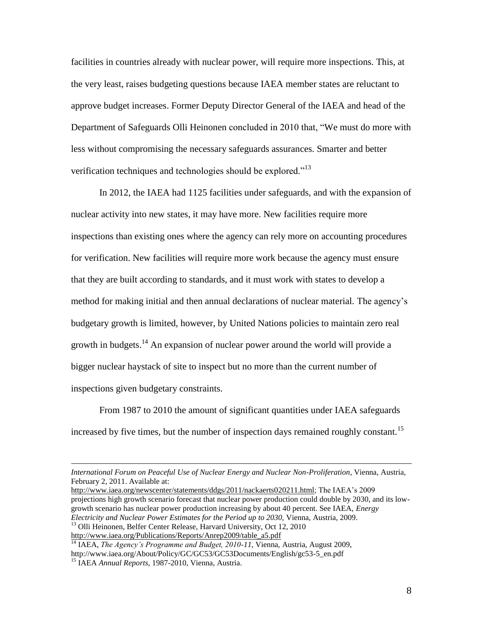facilities in countries already with nuclear power, will require more inspections. This, at the very least, raises budgeting questions because IAEA member states are reluctant to approve budget increases. Former Deputy Director General of the IAEA and head of the Department of Safeguards Olli Heinonen concluded in 2010 that, "We must do more with less without compromising the necessary safeguards assurances. Smarter and better verification techniques and technologies should be explored."<sup>13</sup>

In 2012, the IAEA had 1125 facilities under safeguards, and with the expansion of nuclear activity into new states, it may have more. New facilities require more inspections than existing ones where the agency can rely more on accounting procedures for verification. New facilities will require more work because the agency must ensure that they are built according to standards, and it must work with states to develop a method for making initial and then annual declarations of nuclear material. The agency's budgetary growth is limited, however, by United Nations policies to maintain zero real growth in budgets.<sup>14</sup> An expansion of nuclear power around the world will provide a bigger nuclear haystack of site to inspect but no more than the current number of inspections given budgetary constraints.

From 1987 to 2010 the amount of significant quantities under IAEA safeguards increased by five times, but the number of inspection days remained roughly constant.<sup>15</sup>

[http://www.iaea.org/newscenter/statements/ddgs/2011/nackaerts020211.html;](http://www.iaea.org/newscenter/statements/ddgs/2011/nackaerts020211.html) The IAEA's 2009 projections high growth scenario forecast that nuclear power production could double by 2030, and its lowgrowth scenario has nuclear power production increasing by about 40 percent. See IAEA, *Energy Electricity and Nuclear Power Estimates for the Period up to 2030,* Vienna, Austria, 2009.

*International Forum on Peaceful Use of Nuclear Energy and Nuclear Non-Proliferation*, Vienna, Austria, February 2, 2011. Available at:

<sup>&</sup>lt;sup>13</sup> Olli Heinonen, Belfer Center Release, Harvard University, Oct 12, 2010 [http://www.iaea.org/Publications/Reports/Anrep2009/table\\_a5.pdf](http://www.iaea.org/Publications/Reports/Anrep2009/table_a5.pdf)

<sup>&</sup>lt;sup>14</sup> IAEA, *The Agency's Programme and Budget, 2010-11*, Vienna, Austria, August 2009, http://www.iaea.org/About/Policy/GC/GC53/GC53Documents/English/gc53-5\_en.pdf <sup>15</sup> IAEA *Annual Reports*, 1987-2010, Vienna, Austria.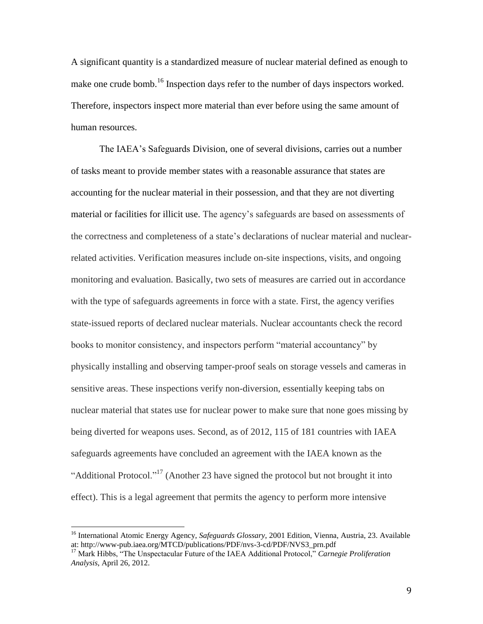A significant quantity is a standardized measure of nuclear material defined as enough to make one crude bomb.<sup>16</sup> Inspection days refer to the number of days inspectors worked. Therefore, inspectors inspect more material than ever before using the same amount of human resources.

The IAEA's Safeguards Division, one of several divisions, carries out a number of tasks meant to provide member states with a reasonable assurance that states are accounting for the nuclear material in their possession, and that they are not diverting material or facilities for illicit use. The agency's safeguards are based on assessments of the correctness and completeness of a state's declarations of nuclear material and nuclearrelated activities. Verification measures include on-site inspections, visits, and ongoing monitoring and evaluation. Basically, two sets of measures are carried out in accordance with the type of safeguards agreements in force with a state. First, the agency verifies state-issued reports of declared nuclear materials. Nuclear accountants check the record books to monitor consistency, and inspectors perform "material accountancy" by physically installing and observing tamper-proof seals on storage vessels and cameras in sensitive areas. These inspections verify non-diversion, essentially keeping tabs on nuclear material that states use for nuclear power to make sure that none goes missing by being diverted for weapons uses. Second, as of 2012, 115 of 181 countries with IAEA safeguards agreements have concluded an agreement with the IAEA known as the "Additional Protocol."<sup>17</sup> (Another 23 have signed the protocol but not brought it into effect). This is a legal agreement that permits the agency to perform more intensive

<sup>16</sup> International Atomic Energy Agency, *Safeguards Glossary*, 2001 Edition, Vienna, Austria, 23. Available at: http://www-pub.iaea.org/MTCD/publications/PDF/nvs-3-cd/PDF/NVS3\_prn.pdf

<sup>17</sup> Mark Hibbs, "The Unspectacular Future of the IAEA Additional Protocol," *Carnegie Proliferation Analysis*, April 26, 2012.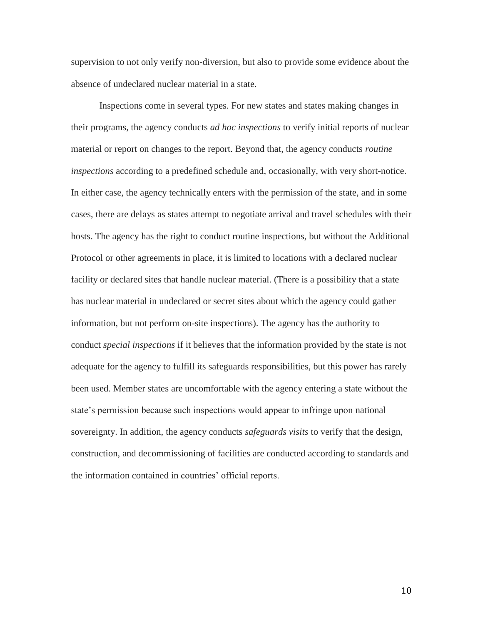supervision to not only verify non-diversion, but also to provide some evidence about the absence of undeclared nuclear material in a state.

Inspections come in several types. For new states and states making changes in their programs, the agency conducts *ad hoc inspections* to verify initial reports of nuclear material or report on changes to the report. Beyond that, the agency conducts *routine inspections* according to a predefined schedule and, occasionally, with very short-notice. In either case, the agency technically enters with the permission of the state, and in some cases, there are delays as states attempt to negotiate arrival and travel schedules with their hosts. The agency has the right to conduct routine inspections, but without the Additional Protocol or other agreements in place, it is limited to locations with a declared nuclear facility or declared sites that handle nuclear material. (There is a possibility that a state has nuclear material in undeclared or secret sites about which the agency could gather information, but not perform on-site inspections). The agency has the authority to conduct *special inspections* if it believes that the information provided by the state is not adequate for the agency to fulfill its safeguards responsibilities, but this power has rarely been used. Member states are uncomfortable with the agency entering a state without the state's permission because such inspections would appear to infringe upon national sovereignty. In addition, the agency conducts *safeguards visits* to verify that the design, construction, and decommissioning of facilities are conducted according to standards and the information contained in countries' official reports.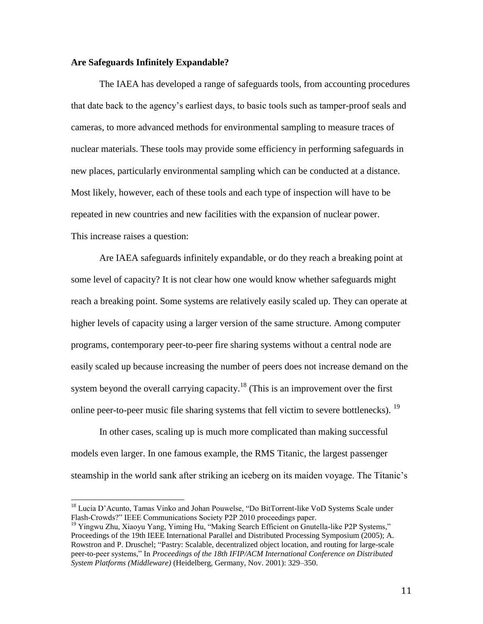# **Are Safeguards Infinitely Expandable?**

The IAEA has developed a range of safeguards tools, from accounting procedures that date back to the agency's earliest days, to basic tools such as tamper-proof seals and cameras, to more advanced methods for environmental sampling to measure traces of nuclear materials. These tools may provide some efficiency in performing safeguards in new places, particularly environmental sampling which can be conducted at a distance. Most likely, however, each of these tools and each type of inspection will have to be repeated in new countries and new facilities with the expansion of nuclear power. This increase raises a question:

Are IAEA safeguards infinitely expandable, or do they reach a breaking point at some level of capacity? It is not clear how one would know whether safeguards might reach a breaking point. Some systems are relatively easily scaled up. They can operate at higher levels of capacity using a larger version of the same structure. Among computer programs, contemporary peer-to-peer fire sharing systems without a central node are easily scaled up because increasing the number of peers does not increase demand on the system beyond the overall carrying capacity.<sup>18</sup> (This is an improvement over the first online peer-to-peer music file sharing systems that fell victim to severe bottlenecks). <sup>19</sup>

In other cases, scaling up is much more complicated than making successful models even larger. In one famous example, the RMS Titanic, the largest passenger steamship in the world sank after striking an iceberg on its maiden voyage. The Titanic's

<sup>&</sup>lt;sup>18</sup> Lucia D'Acunto, Tamas Vinko and Johan Pouwelse, "Do BitTorrent-like VoD Systems Scale under Flash-Crowds?" IEEE Communications Society P2P 2010 proceedings paper.

<sup>&</sup>lt;sup>19</sup> Yingwu Zhu, Xiaoyu Yang, Yiming Hu, "Making Search Efficient on Gnutella-like P2P Systems," Proceedings of the 19th IEEE International Parallel and Distributed Processing Symposium (2005); A. Rowstron and P. Druschel; "Pastry: Scalable, decentralized object location, and routing for large-scale peer-to-peer systems," In *Proceedings of the 18th IFIP/ACM International Conference on Distributed System Platforms (Middleware)* (Heidelberg, Germany, Nov. 2001): 329–350.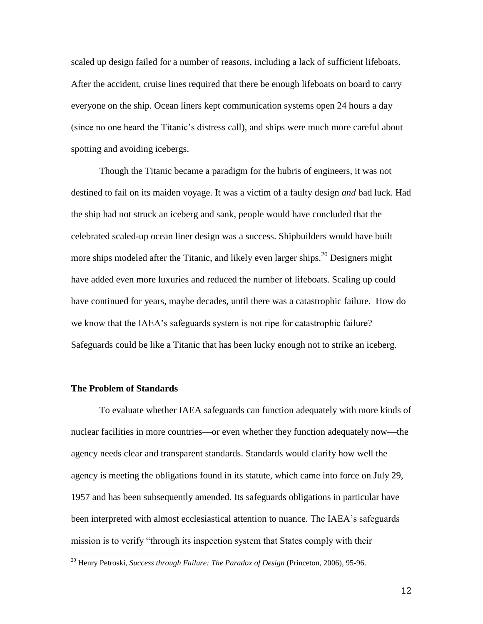scaled up design failed for a number of reasons, including a lack of sufficient lifeboats. After the accident, cruise lines required that there be enough lifeboats on board to carry everyone on the ship. Ocean liners kept communication systems open 24 hours a day (since no one heard the Titanic's distress call), and ships were much more careful about spotting and avoiding icebergs.

Though the Titanic became a paradigm for the hubris of engineers, it was not destined to fail on its maiden voyage. It was a victim of a faulty design *and* bad luck. Had the ship had not struck an iceberg and sank, people would have concluded that the celebrated scaled-up ocean liner design was a success. Shipbuilders would have built more ships modeled after the Titanic, and likely even larger ships.<sup>20</sup> Designers might have added even more luxuries and reduced the number of lifeboats. Scaling up could have continued for years, maybe decades, until there was a catastrophic failure. How do we know that the IAEA's safeguards system is not ripe for catastrophic failure? Safeguards could be like a Titanic that has been lucky enough not to strike an iceberg.

# **The Problem of Standards**

 $\overline{a}$ 

To evaluate whether IAEA safeguards can function adequately with more kinds of nuclear facilities in more countries—or even whether they function adequately now—the agency needs clear and transparent standards. Standards would clarify how well the agency is meeting the obligations found in its statute, which came into force on July 29, 1957 and has been subsequently amended. Its safeguards obligations in particular have been interpreted with almost ecclesiastical attention to nuance. The IAEA's safeguards mission is to verify "through its inspection system that States comply with their

<sup>20</sup> Henry Petroski, *Success through Failure: The Paradox of Design* (Princeton, 2006), 95-96.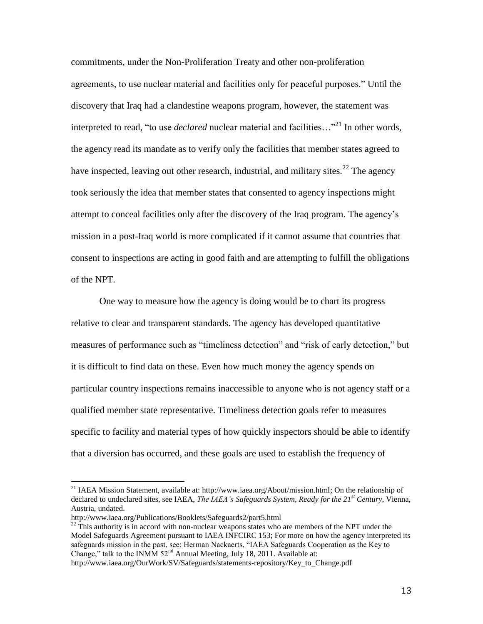commitments, under the Non-Proliferation Treaty and other non-proliferation agreements, to use nuclear material and facilities only for peaceful purposes." Until the discovery that Iraq had a clandestine weapons program, however, the statement was interpreted to read, "to use *declared* nuclear material and facilities..."<sup>21</sup> In other words, the agency read its mandate as to verify only the facilities that member states agreed to have inspected, leaving out other research, industrial, and military sites.<sup>22</sup> The agency took seriously the idea that member states that consented to agency inspections might attempt to conceal facilities only after the discovery of the Iraq program. The agency's mission in a post-Iraq world is more complicated if it cannot assume that countries that consent to inspections are acting in good faith and are attempting to fulfill the obligations of the NPT.

One way to measure how the agency is doing would be to chart its progress relative to clear and transparent standards. The agency has developed quantitative measures of performance such as "timeliness detection" and "risk of early detection," but it is difficult to find data on these. Even how much money the agency spends on particular country inspections remains inaccessible to anyone who is not agency staff or a qualified member state representative. Timeliness detection goals refer to measures specific to facility and material types of how quickly inspectors should be able to identify that a diversion has occurred, and these goals are used to establish the frequency of

 $\overline{a}$ 

 $22$ <sup>22</sup> This authority is in accord with non-nuclear weapons states who are members of the NPT under the Model Safeguards Agreement pursuant to IAEA INFCIRC 153; For more on how the agency interpreted its safeguards mission in the past, see: Herman Nackaerts, "IAEA Safeguards Cooperation as the Key to Change," talk to the INMM 52<sup>nd</sup> Annual Meeting, July 18, 2011. Available at:

http://www.iaea.org/OurWork/SV/Safeguards/statements-repository/Key\_to\_Change.pdf

<sup>&</sup>lt;sup>21</sup> IAEA Mission Statement, available at: [http://www.iaea.org/About/mission.html;](http://www.iaea.org/About/mission.html) On the relationship of declared to undeclared sites, see IAEA, *The IAEA's Safeguards System, Ready for the 21st Century*, Vienna, Austria, undated.

http://www.iaea.org/Publications/Booklets/Safeguards2/part5.html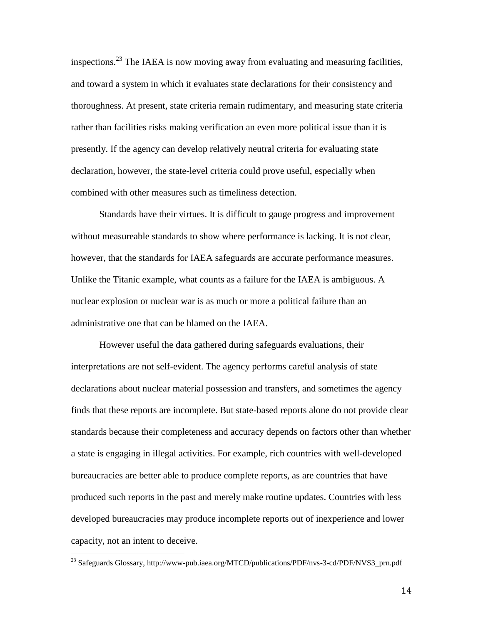inspections.<sup>23</sup> The IAEA is now moving away from evaluating and measuring facilities, and toward a system in which it evaluates state declarations for their consistency and thoroughness. At present, state criteria remain rudimentary, and measuring state criteria rather than facilities risks making verification an even more political issue than it is presently. If the agency can develop relatively neutral criteria for evaluating state declaration, however, the state-level criteria could prove useful, especially when combined with other measures such as timeliness detection.

Standards have their virtues. It is difficult to gauge progress and improvement without measureable standards to show where performance is lacking. It is not clear, however, that the standards for IAEA safeguards are accurate performance measures. Unlike the Titanic example, what counts as a failure for the IAEA is ambiguous. A nuclear explosion or nuclear war is as much or more a political failure than an administrative one that can be blamed on the IAEA.

However useful the data gathered during safeguards evaluations, their interpretations are not self-evident. The agency performs careful analysis of state declarations about nuclear material possession and transfers, and sometimes the agency finds that these reports are incomplete. But state-based reports alone do not provide clear standards because their completeness and accuracy depends on factors other than whether a state is engaging in illegal activities. For example, rich countries with well-developed bureaucracies are better able to produce complete reports, as are countries that have produced such reports in the past and merely make routine updates. Countries with less developed bureaucracies may produce incomplete reports out of inexperience and lower capacity, not an intent to deceive.

 $\overline{a}$ 

<sup>&</sup>lt;sup>23</sup> Safeguards Glossary, http://www-pub.iaea.org/MTCD/publications/PDF/nvs-3-cd/PDF/NVS3\_prn.pdf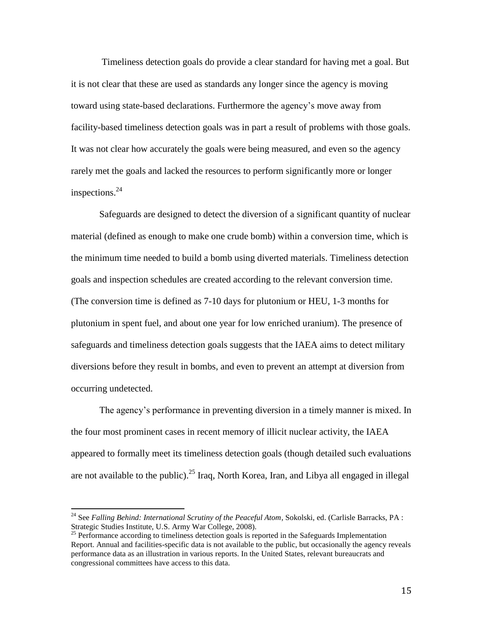Timeliness detection goals do provide a clear standard for having met a goal. But it is not clear that these are used as standards any longer since the agency is moving toward using state-based declarations. Furthermore the agency's move away from facility-based timeliness detection goals was in part a result of problems with those goals. It was not clear how accurately the goals were being measured, and even so the agency rarely met the goals and lacked the resources to perform significantly more or longer inspections. 24

Safeguards are designed to detect the diversion of a significant quantity of nuclear material (defined as enough to make one crude bomb) within a conversion time, which is the minimum time needed to build a bomb using diverted materials. Timeliness detection goals and inspection schedules are created according to the relevant conversion time. (The conversion time is defined as 7-10 days for plutonium or HEU, 1-3 months for plutonium in spent fuel, and about one year for low enriched uranium). The presence of safeguards and timeliness detection goals suggests that the IAEA aims to detect military diversions before they result in bombs, and even to prevent an attempt at diversion from occurring undetected.

The agency's performance in preventing diversion in a timely manner is mixed. In the four most prominent cases in recent memory of illicit nuclear activity, the IAEA appeared to formally meet its timeliness detection goals (though detailed such evaluations are not available to the public).<sup>25</sup> Iraq, North Korea, Iran, and Libya all engaged in illegal

<sup>&</sup>lt;sup>24</sup> See *Falling Behind: International Scrutiny of the Peaceful Atom*, Sokolski, ed. (Carlisle Barracks, PA : Strategic Studies Institute, U.S. Army War College, 2008).

<sup>&</sup>lt;sup>25</sup> Performance according to timeliness detection goals is reported in the Safeguards Implementation Report. Annual and facilities-specific data is not available to the public, but occasionally the agency reveals performance data as an illustration in various reports. In the United States, relevant bureaucrats and congressional committees have access to this data.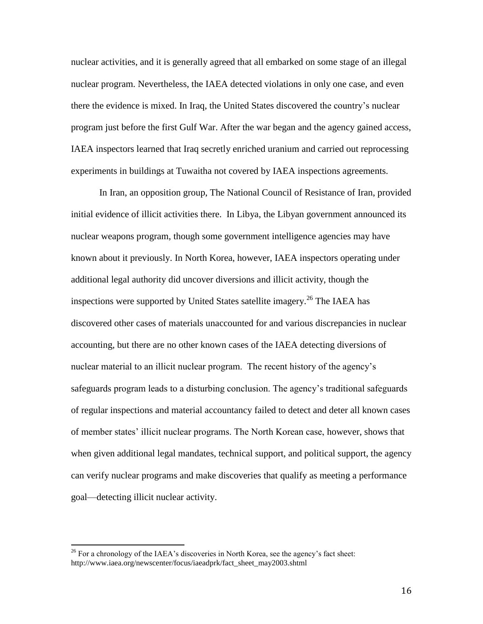nuclear activities, and it is generally agreed that all embarked on some stage of an illegal nuclear program. Nevertheless, the IAEA detected violations in only one case, and even there the evidence is mixed. In Iraq, the United States discovered the country's nuclear program just before the first Gulf War. After the war began and the agency gained access, IAEA inspectors learned that Iraq secretly enriched uranium and carried out reprocessing experiments in buildings at Tuwaitha not covered by IAEA inspections agreements.

In Iran, an opposition group, The National Council of Resistance of Iran, provided initial evidence of illicit activities there. In Libya, the Libyan government announced its nuclear weapons program, though some government intelligence agencies may have known about it previously. In North Korea, however, IAEA inspectors operating under additional legal authority did uncover diversions and illicit activity, though the inspections were supported by United States satellite imagery.<sup>26</sup> The IAEA has discovered other cases of materials unaccounted for and various discrepancies in nuclear accounting, but there are no other known cases of the IAEA detecting diversions of nuclear material to an illicit nuclear program. The recent history of the agency's safeguards program leads to a disturbing conclusion. The agency's traditional safeguards of regular inspections and material accountancy failed to detect and deter all known cases of member states' illicit nuclear programs. The North Korean case, however, shows that when given additional legal mandates, technical support, and political support, the agency can verify nuclear programs and make discoveries that qualify as meeting a performance goal—detecting illicit nuclear activity.

l

 $^{26}$  For a chronology of the IAEA's discoveries in North Korea, see the agency's fact sheet: http://www.iaea.org/newscenter/focus/iaeadprk/fact\_sheet\_may2003.shtml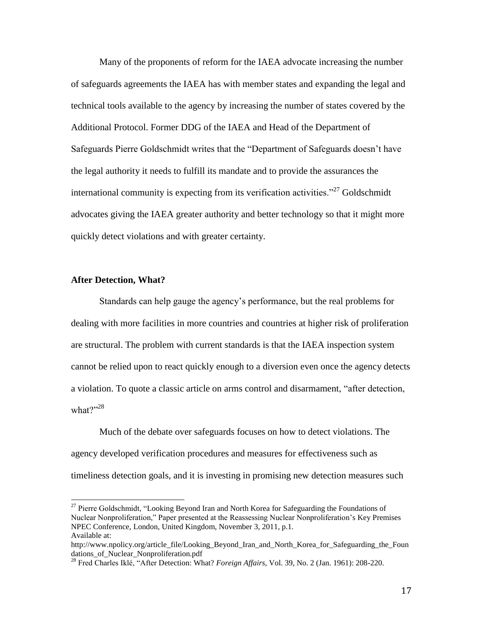Many of the proponents of reform for the IAEA advocate increasing the number of safeguards agreements the IAEA has with member states and expanding the legal and technical tools available to the agency by increasing the number of states covered by the Additional Protocol. Former DDG of the IAEA and Head of the Department of Safeguards Pierre Goldschmidt writes that the "Department of Safeguards doesn't have the legal authority it needs to fulfill its mandate and to provide the assurances the international community is expecting from its verification activities. $127$  Goldschmidt advocates giving the IAEA greater authority and better technology so that it might more quickly detect violations and with greater certainty.

### **After Detection, What?**

 $\overline{a}$ 

Standards can help gauge the agency's performance, but the real problems for dealing with more facilities in more countries and countries at higher risk of proliferation are structural. The problem with current standards is that the IAEA inspection system cannot be relied upon to react quickly enough to a diversion even once the agency detects a violation. To quote a classic article on arms control and disarmament, "after detection, what $\gamma$ <sup>28</sup>

Much of the debate over safeguards focuses on how to detect violations. The agency developed verification procedures and measures for effectiveness such as timeliness detection goals, and it is investing in promising new detection measures such

<sup>&</sup>lt;sup>27</sup> Pierre Goldschmidt, "Looking Beyond Iran and North Korea for Safeguarding the Foundations of Nuclear Nonproliferation," Paper presented at the Reassessing Nuclear Nonproliferation's Key Premises NPEC Conference, London, United Kingdom, November 3, 2011, p.1. Available at:

http://www.npolicy.org/article\_file/Looking\_Beyond\_Iran\_and\_North\_Korea\_for\_Safeguarding\_the\_Foun dations of Nuclear Nonproliferation.pdf

<sup>28</sup> Fred Charles Iklé, "After Detection: What? *Foreign Affairs*, Vol. 39, No. 2 (Jan. 1961): 208-220.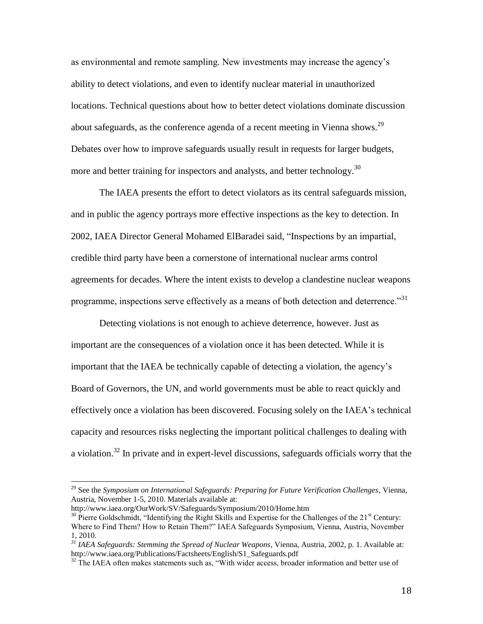as environmental and remote sampling. New investments may increase the agency's ability to detect violations, and even to identify nuclear material in unauthorized locations. Technical questions about how to better detect violations dominate discussion about safeguards, as the conference agenda of a recent meeting in Vienna shows.<sup>29</sup> Debates over how to improve safeguards usually result in requests for larger budgets, more and better training for inspectors and analysts, and better technology.<sup>30</sup>

The IAEA presents the effort to detect violators as its central safeguards mission, and in public the agency portrays more effective inspections as the key to detection. In 2002, IAEA Director General Mohamed ElBaradei said, "Inspections by an impartial, credible third party have been a cornerstone of international nuclear arms control agreements for decades. Where the intent exists to develop a clandestine nuclear weapons programme, inspections serve effectively as a means of both detection and deterrence."<sup>31</sup>

Detecting violations is not enough to achieve deterrence, however. Just as important are the consequences of a violation once it has been detected. While it is important that the IAEA be technically capable of detecting a violation, the agency's Board of Governors, the UN, and world governments must be able to react quickly and effectively once a violation has been discovered. Focusing solely on the IAEA's technical capacity and resources risks neglecting the important political challenges to dealing with a violation.<sup>32</sup> In private and in expert-level discussions, safeguards officials worry that the

<sup>29</sup> See the *Symposium on International Safeguards: Preparing for Future Verification Challenges*, Vienna, Austria, November 1-5, 2010. Materials available at:

http://www.iaea.org/OurWork/SV/Safeguards/Symposium/2010/Home.htm

 $30$  Pierre Goldschmidt, "Identifying the Right Skills and Expertise for the Challenges of the 21<sup>st</sup> Century: Where to Find Them? How to Retain Them?" IAEA Safeguards Symposium, Vienna, Austria, November 1, 2010.

*<sup>31</sup> IAEA Safeguards: Stemming the Spread of Nuclear Weapons*, Vienna, Austria, 2002, p. 1. Available at: http://www.iaea.org/Publications/Factsheets/English/S1\_Safeguards.pdf

<sup>&</sup>lt;sup>32</sup> The IAEA often makes statements such as, "With wider access, broader information and better use of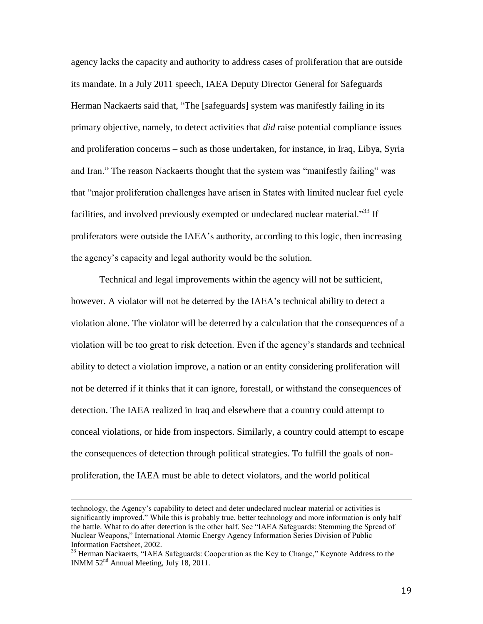agency lacks the capacity and authority to address cases of proliferation that are outside its mandate. In a July 2011 speech, IAEA Deputy Director General for Safeguards Herman Nackaerts said that, "The [safeguards] system was manifestly failing in its primary objective, namely, to detect activities that *did* raise potential compliance issues and proliferation concerns – such as those undertaken, for instance, in Iraq, Libya, Syria and Iran." The reason Nackaerts thought that the system was "manifestly failing" was that "major proliferation challenges have arisen in States with limited nuclear fuel cycle facilities, and involved previously exempted or undeclared nuclear material.<sup>33</sup> If proliferators were outside the IAEA's authority, according to this logic, then increasing the agency's capacity and legal authority would be the solution.

Technical and legal improvements within the agency will not be sufficient, however. A violator will not be deterred by the IAEA's technical ability to detect a violation alone. The violator will be deterred by a calculation that the consequences of a violation will be too great to risk detection. Even if the agency's standards and technical ability to detect a violation improve, a nation or an entity considering proliferation will not be deterred if it thinks that it can ignore, forestall, or withstand the consequences of detection. The IAEA realized in Iraq and elsewhere that a country could attempt to conceal violations, or hide from inspectors. Similarly, a country could attempt to escape the consequences of detection through political strategies. To fulfill the goals of nonproliferation, the IAEA must be able to detect violators, and the world political

technology, the Agency's capability to detect and deter undeclared nuclear material or activities is significantly improved." While this is probably true, better technology and more information is only half the battle. What to do after detection is the other half. See "IAEA Safeguards: Stemming the Spread of Nuclear Weapons," International Atomic Energy Agency Information Series Division of Public Information Factsheet, 2002.

<sup>&</sup>lt;sup>33</sup> Herman Nackaerts, "IAEA Safeguards: Cooperation as the Key to Change," Keynote Address to the INMM 52nd Annual Meeting, July 18, 2011.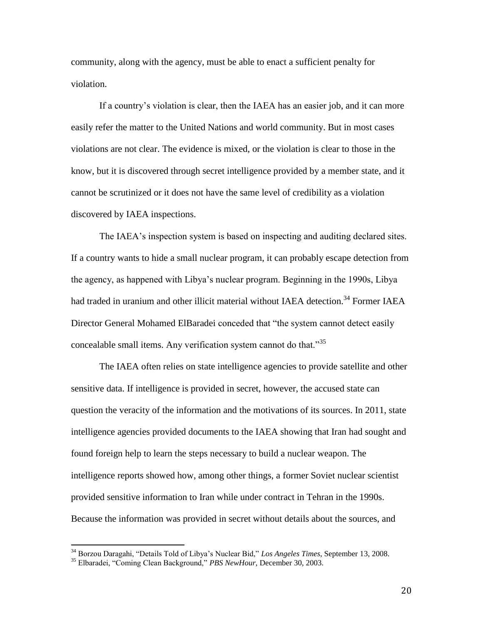community, along with the agency, must be able to enact a sufficient penalty for violation.

If a country's violation is clear, then the IAEA has an easier job, and it can more easily refer the matter to the United Nations and world community. But in most cases violations are not clear. The evidence is mixed, or the violation is clear to those in the know, but it is discovered through secret intelligence provided by a member state, and it cannot be scrutinized or it does not have the same level of credibility as a violation discovered by IAEA inspections.

The IAEA's inspection system is based on inspecting and auditing declared sites. If a country wants to hide a small nuclear program, it can probably escape detection from the agency, as happened with Libya's nuclear program. Beginning in the 1990s, Libya had traded in uranium and other illicit material without IAEA detection.<sup>34</sup> Former IAEA Director General Mohamed ElBaradei conceded that "the system cannot detect easily concealable small items. Any verification system cannot do that.<sup>35</sup>

The IAEA often relies on state intelligence agencies to provide satellite and other sensitive data. If intelligence is provided in secret, however, the accused state can question the veracity of the information and the motivations of its sources. In 2011, state intelligence agencies provided documents to the IAEA showing that Iran had sought and found foreign help to learn the steps necessary to build a nuclear weapon. The intelligence reports showed how, among other things, a former Soviet nuclear scientist provided sensitive information to Iran while under contract in Tehran in the 1990s. Because the information was provided in secret without details about the sources, and

l

<sup>34</sup> Borzou Daragahi, "Details Told of Libya's Nuclear Bid," *Los Angeles Times*, September 13, 2008.

<sup>35</sup> Elbaradei, "Coming Clean Background," *PBS NewHour*, December 30, 2003.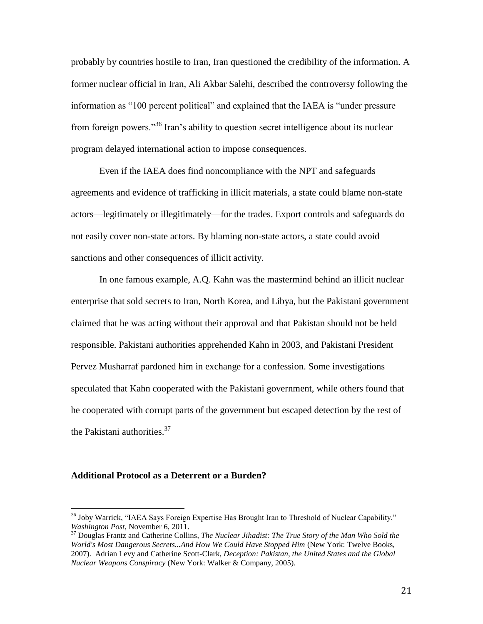probably by countries hostile to Iran, Iran questioned the credibility of the information. A former nuclear official in Iran, Ali Akbar Salehi, described the controversy following the information as "100 percent political" and explained that the IAEA is "under pressure from foreign powers."<sup>36</sup> Iran's ability to question secret intelligence about its nuclear program delayed international action to impose consequences.

Even if the IAEA does find noncompliance with the NPT and safeguards agreements and evidence of trafficking in illicit materials, a state could blame non-state actors—legitimately or illegitimately—for the trades. Export controls and safeguards do not easily cover non-state actors. By blaming non-state actors, a state could avoid sanctions and other consequences of illicit activity.

In one famous example, A.Q. Kahn was the mastermind behind an illicit nuclear enterprise that sold secrets to Iran, North Korea, and Libya, but the Pakistani government claimed that he was acting without their approval and that Pakistan should not be held responsible. Pakistani authorities apprehended Kahn in 2003, and Pakistani President Pervez Musharraf pardoned him in exchange for a confession. Some investigations speculated that Kahn cooperated with the Pakistani government, while others found that he cooperated with corrupt parts of the government but escaped detection by the rest of the Pakistani authorities.<sup>37</sup>

### **Additional Protocol as a Deterrent or a Burden?**

<sup>&</sup>lt;sup>36</sup> [Joby Warrick,](http://www.washingtonpost.com/joby-warrick/2011/03/02/ABzzvmP_page.html) "IAEA Says Foreign Expertise Has Brought Iran to Threshold of Nuclear Capability," *Washington Post*, November 6, 2011.

<sup>37</sup> Douglas Frantz and Catherine Collins, *The Nuclear Jihadist: The True Story of the Man Who Sold the World's Most Dangerous Secrets...And How We Could Have Stopped Him* (New York: Twelve Books, 2007). Adrian Levy and Catherine Scott-Clark, *Deception: Pakistan, the United States and the Global Nuclear Weapons Conspiracy* (New York: Walker & Company, 2005).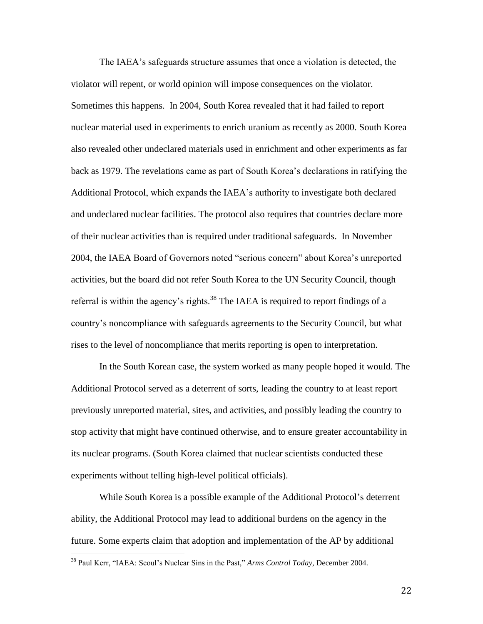The IAEA's safeguards structure assumes that once a violation is detected, the violator will repent, or world opinion will impose consequences on the violator. Sometimes this happens. In 2004, South Korea revealed that it had failed to report nuclear material used in experiments to enrich uranium as recently as 2000. South Korea also revealed other undeclared materials used in enrichment and other experiments as far back as 1979. The revelations came as part of South Korea's declarations in ratifying the Additional Protocol, which expands the IAEA's authority to investigate both declared and undeclared nuclear facilities. The protocol also requires that countries declare more of their nuclear activities than is required under traditional safeguards. In November 2004, the IAEA Board of Governors noted "serious concern" about Korea's unreported activities, but the board did not refer South Korea to the UN Security Council, though referral is within the agency's rights.<sup>38</sup> The IAEA is required to report findings of a country's noncompliance with safeguards agreements to the Security Council, but what rises to the level of noncompliance that merits reporting is open to interpretation.

In the South Korean case, the system worked as many people hoped it would. The Additional Protocol served as a deterrent of sorts, leading the country to at least report previously unreported material, sites, and activities, and possibly leading the country to stop activity that might have continued otherwise, and to ensure greater accountability in its nuclear programs. (South Korea claimed that nuclear scientists conducted these experiments without telling high-level political officials).

While South Korea is a possible example of the Additional Protocol's deterrent ability, the Additional Protocol may lead to additional burdens on the agency in the future. Some experts claim that adoption and implementation of the AP by additional

 $\overline{a}$ 

<sup>38</sup> Paul Kerr, "IAEA: Seoul's Nuclear Sins in the Past," *Arms Control Today*, December 2004.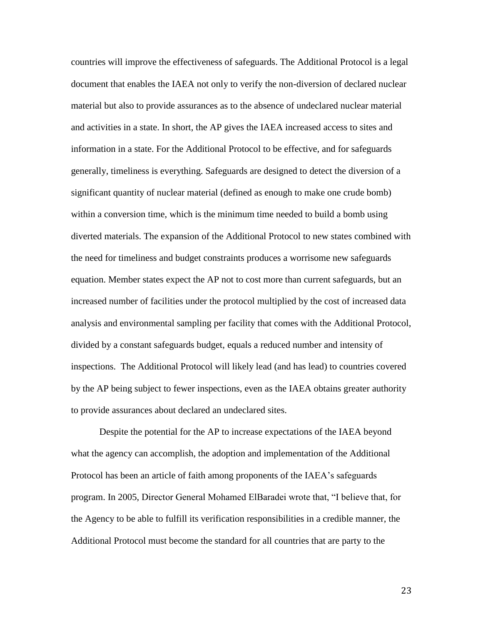countries will improve the effectiveness of safeguards. The Additional Protocol is a legal document that enables the IAEA not only to verify the non-diversion of declared nuclear material but also to provide assurances as to the absence of undeclared nuclear material and activities in a state. In short, the AP gives the IAEA increased access to sites and information in a state. For the Additional Protocol to be effective, and for safeguards generally, timeliness is everything. Safeguards are designed to detect the diversion of a significant quantity of nuclear material (defined as enough to make one crude bomb) within a conversion time, which is the minimum time needed to build a bomb using diverted materials. The expansion of the Additional Protocol to new states combined with the need for timeliness and budget constraints produces a worrisome new safeguards equation. Member states expect the AP not to cost more than current safeguards, but an increased number of facilities under the protocol multiplied by the cost of increased data analysis and environmental sampling per facility that comes with the Additional Protocol, divided by a constant safeguards budget, equals a reduced number and intensity of inspections. The Additional Protocol will likely lead (and has lead) to countries covered by the AP being subject to fewer inspections, even as the IAEA obtains greater authority to provide assurances about declared an undeclared sites.

Despite the potential for the AP to increase expectations of the IAEA beyond what the agency can accomplish, the adoption and implementation of the Additional Protocol has been an article of faith among proponents of the IAEA's safeguards program. In 2005, Director General Mohamed ElBaradei wrote that, "I believe that, for the Agency to be able to fulfill its verification responsibilities in a credible manner, the Additional Protocol must become the standard for all countries that are party to the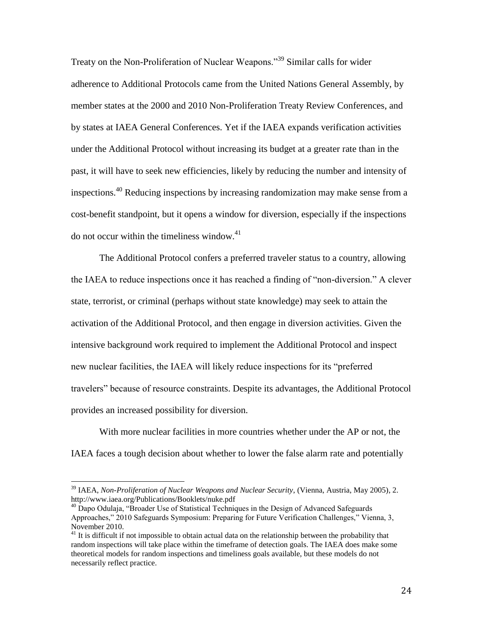Treaty on the Non-Proliferation of Nuclear Weapons."<sup>39</sup> Similar calls for wider adherence to Additional Protocols came from the United Nations General Assembly, by member states at the 2000 and 2010 Non-Proliferation Treaty Review Conferences, and by states at IAEA General Conferences. Yet if the IAEA expands verification activities under the Additional Protocol without increasing its budget at a greater rate than in the past, it will have to seek new efficiencies, likely by reducing the number and intensity of inspections.<sup>40</sup> Reducing inspections by increasing randomization may make sense from a cost-benefit standpoint, but it opens a window for diversion, especially if the inspections do not occur within the timeliness window. $41$ 

The Additional Protocol confers a preferred traveler status to a country, allowing the IAEA to reduce inspections once it has reached a finding of "non-diversion." A clever state, terrorist, or criminal (perhaps without state knowledge) may seek to attain the activation of the Additional Protocol, and then engage in diversion activities. Given the intensive background work required to implement the Additional Protocol and inspect new nuclear facilities, the IAEA will likely reduce inspections for its "preferred travelers" because of resource constraints. Despite its advantages, the Additional Protocol provides an increased possibility for diversion.

With more nuclear facilities in more countries whether under the AP or not, the IAEA faces a tough decision about whether to lower the false alarm rate and potentially

<sup>39</sup> IAEA, *Non-Proliferation of Nuclear Weapons and Nuclear Security*, (Vienna, Austria, May 2005), 2. http://www.iaea.org/Publications/Booklets/nuke.pdf

 $40$  Dapo Odulaja, "Broader Use of Statistical Techniques in the Design of Advanced Safeguards Approaches," 2010 Safeguards Symposium: Preparing for Future Verification Challenges," Vienna, 3, November 2010.

<sup>&</sup>lt;sup>41</sup> It is difficult if not impossible to obtain actual data on the relationship between the probability that random inspections will take place within the timeframe of detection goals. The IAEA does make some theoretical models for random inspections and timeliness goals available, but these models do not necessarily reflect practice.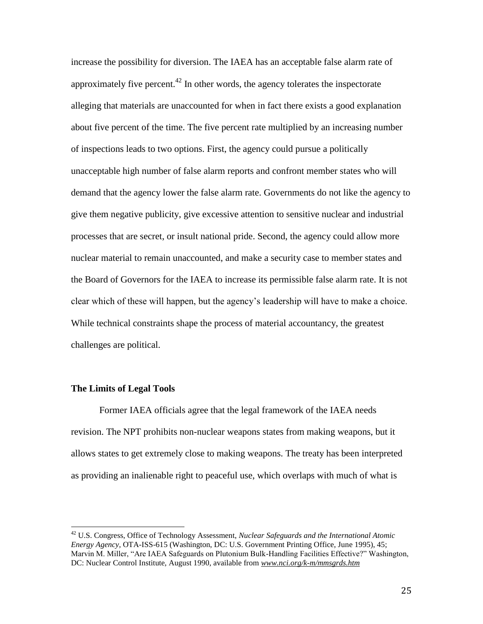increase the possibility for diversion. The IAEA has an acceptable false alarm rate of approximately five percent.<sup> $42$ </sup> In other words, the agency tolerates the inspectorate alleging that materials are unaccounted for when in fact there exists a good explanation about five percent of the time. The five percent rate multiplied by an increasing number of inspections leads to two options. First, the agency could pursue a politically unacceptable high number of false alarm reports and confront member states who will demand that the agency lower the false alarm rate. Governments do not like the agency to give them negative publicity, give excessive attention to sensitive nuclear and industrial processes that are secret, or insult national pride. Second, the agency could allow more nuclear material to remain unaccounted, and make a security case to member states and the Board of Governors for the IAEA to increase its permissible false alarm rate. It is not clear which of these will happen, but the agency's leadership will have to make a choice. While technical constraints shape the process of material accountancy, the greatest challenges are political.

### **The Limits of Legal Tools**

 $\overline{a}$ 

Former IAEA officials agree that the legal framework of the IAEA needs revision. The NPT prohibits non-nuclear weapons states from making weapons, but it allows states to get extremely close to making weapons. The treaty has been interpreted as providing an inalienable right to peaceful use, which overlaps with much of what is

<sup>42</sup> U.S. Congress, Office of Technology Assessment, *Nuclear Safeguards and the International Atomic Energy Agency,* OTA-ISS-615 (Washington, DC: U.S. Government Printing Office, June 1995), 45; Marvin M. Miller, "Are IAEA Safeguards on Plutonium Bulk-Handling Facilities Effective?" Washington, DC: Nuclear Control Institute, August 1990, available from *[www.nci.org/k-m/mmsgrds.htm](http://www.nci.org/k-m/mmsgrds.htm)*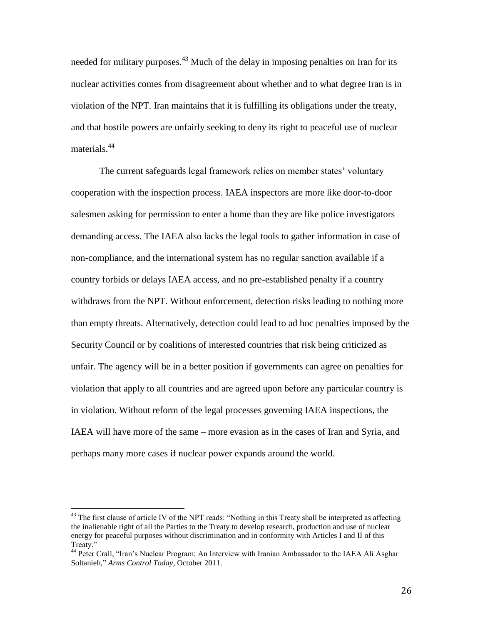needed for military purposes.<sup>43</sup> Much of the delay in imposing penalties on Iran for its nuclear activities comes from disagreement about whether and to what degree Iran is in violation of the NPT. Iran maintains that it is fulfilling its obligations under the treaty, and that hostile powers are unfairly seeking to deny its right to peaceful use of nuclear materials.<sup>44</sup>

The current safeguards legal framework relies on member states' voluntary cooperation with the inspection process. IAEA inspectors are more like door-to-door salesmen asking for permission to enter a home than they are like police investigators demanding access. The IAEA also lacks the legal tools to gather information in case of non-compliance, and the international system has no regular sanction available if a country forbids or delays IAEA access, and no pre-established penalty if a country withdraws from the NPT. Without enforcement, detection risks leading to nothing more than empty threats. Alternatively, detection could lead to ad hoc penalties imposed by the Security Council or by coalitions of interested countries that risk being criticized as unfair. The agency will be in a better position if governments can agree on penalties for violation that apply to all countries and are agreed upon before any particular country is in violation. Without reform of the legal processes governing IAEA inspections, the IAEA will have more of the same – more evasion as in the cases of Iran and Syria, and perhaps many more cases if nuclear power expands around the world.

<sup>&</sup>lt;sup>43</sup> The first clause of article IV of the NPT reads: "Nothing in this Treaty shall be interpreted as affecting the inalienable right of all the Parties to the Treaty to develop research, production and use of nuclear energy for peaceful purposes without discrimination and in conformity with Articles I and II of this Treaty."

<sup>44</sup> Peter Crall, "Iran's Nuclear Program: An Interview with Iranian Ambassador to the IAEA Ali Asghar Soltanieh," *Arms Control Today*, October 2011.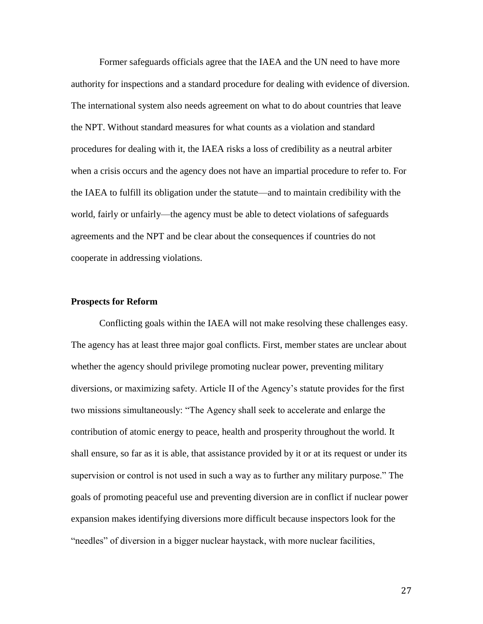Former safeguards officials agree that the IAEA and the UN need to have more authority for inspections and a standard procedure for dealing with evidence of diversion. The international system also needs agreement on what to do about countries that leave the NPT. Without standard measures for what counts as a violation and standard procedures for dealing with it, the IAEA risks a loss of credibility as a neutral arbiter when a crisis occurs and the agency does not have an impartial procedure to refer to. For the IAEA to fulfill its obligation under the statute—and to maintain credibility with the world, fairly or unfairly—the agency must be able to detect violations of safeguards agreements and the NPT and be clear about the consequences if countries do not cooperate in addressing violations.

### **Prospects for Reform**

Conflicting goals within the IAEA will not make resolving these challenges easy. The agency has at least three major goal conflicts. First, member states are unclear about whether the agency should privilege promoting nuclear power, preventing military diversions, or maximizing safety. Article II of the Agency's statute provides for the first two missions simultaneously: "The Agency shall seek to accelerate and enlarge the contribution of atomic energy to peace, health and prosperity throughout the world. It shall ensure, so far as it is able, that assistance provided by it or at its request or under its supervision or control is not used in such a way as to further any military purpose." The goals of promoting peaceful use and preventing diversion are in conflict if nuclear power expansion makes identifying diversions more difficult because inspectors look for the "needles" of diversion in a bigger nuclear haystack, with more nuclear facilities,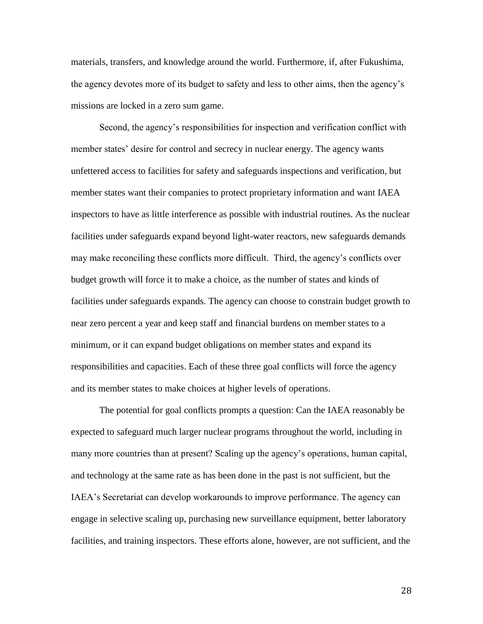materials, transfers, and knowledge around the world. Furthermore, if, after Fukushima, the agency devotes more of its budget to safety and less to other aims, then the agency's missions are locked in a zero sum game.

Second, the agency's responsibilities for inspection and verification conflict with member states' desire for control and secrecy in nuclear energy. The agency wants unfettered access to facilities for safety and safeguards inspections and verification, but member states want their companies to protect proprietary information and want IAEA inspectors to have as little interference as possible with industrial routines. As the nuclear facilities under safeguards expand beyond light-water reactors, new safeguards demands may make reconciling these conflicts more difficult. Third, the agency's conflicts over budget growth will force it to make a choice, as the number of states and kinds of facilities under safeguards expands. The agency can choose to constrain budget growth to near zero percent a year and keep staff and financial burdens on member states to a minimum, or it can expand budget obligations on member states and expand its responsibilities and capacities. Each of these three goal conflicts will force the agency and its member states to make choices at higher levels of operations.

The potential for goal conflicts prompts a question: Can the IAEA reasonably be expected to safeguard much larger nuclear programs throughout the world, including in many more countries than at present? Scaling up the agency's operations, human capital, and technology at the same rate as has been done in the past is not sufficient, but the IAEA's Secretariat can develop workarounds to improve performance. The agency can engage in selective scaling up, purchasing new surveillance equipment, better laboratory facilities, and training inspectors. These efforts alone, however, are not sufficient, and the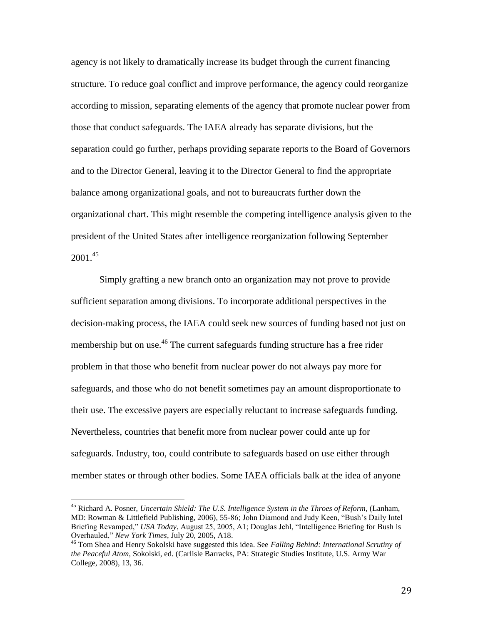agency is not likely to dramatically increase its budget through the current financing structure. To reduce goal conflict and improve performance, the agency could reorganize according to mission, separating elements of the agency that promote nuclear power from those that conduct safeguards. The IAEA already has separate divisions, but the separation could go further, perhaps providing separate reports to the Board of Governors and to the Director General, leaving it to the Director General to find the appropriate balance among organizational goals, and not to bureaucrats further down the organizational chart. This might resemble the competing intelligence analysis given to the president of the United States after intelligence reorganization following September  $2001.<sup>45</sup>$ 

Simply grafting a new branch onto an organization may not prove to provide sufficient separation among divisions. To incorporate additional perspectives in the decision-making process, the IAEA could seek new sources of funding based not just on membership but on use.<sup>46</sup> The current safeguards funding structure has a free rider problem in that those who benefit from nuclear power do not always pay more for safeguards, and those who do not benefit sometimes pay an amount disproportionate to their use. The excessive payers are especially reluctant to increase safeguards funding. Nevertheless, countries that benefit more from nuclear power could ante up for safeguards. Industry, too, could contribute to safeguards based on use either through member states or through other bodies. Some IAEA officials balk at the idea of anyone

<sup>45</sup> Richard A. Posner, *Uncertain Shield: The U.S. Intelligence System in the Throes of Reform*, (Lanham, MD: Rowman & Littlefield Publishing, 2006), 55-86; John Diamond and Judy Keen, "Bush's Daily Intel Briefing Revamped," *USA Today*, August 25, 2005, A1; Douglas Jehl, "Intelligence Briefing for Bush is Overhauled," *New York Times*, July 20, 2005, A18.

<sup>46</sup> Tom Shea and Henry Sokolski have suggested this idea. See *Falling Behind: International Scrutiny of the Peaceful Atom*, Sokolski, ed. (Carlisle Barracks, PA: Strategic Studies Institute, U.S. Army War College, 2008), 13, 36.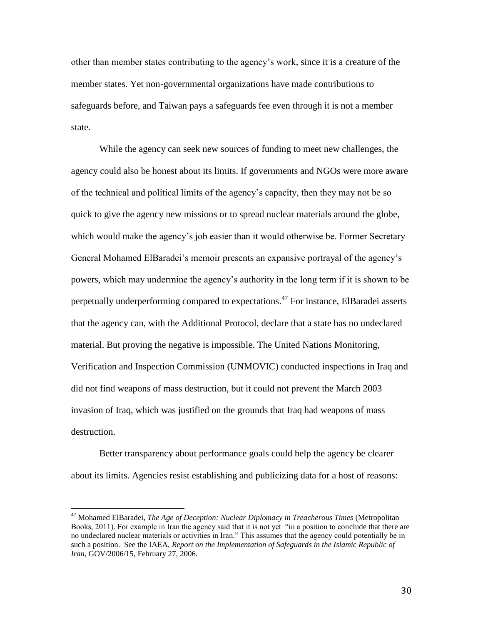other than member states contributing to the agency's work, since it is a creature of the member states. Yet non-governmental organizations have made contributions to safeguards before, and Taiwan pays a safeguards fee even through it is not a member state.

While the agency can seek new sources of funding to meet new challenges, the agency could also be honest about its limits. If governments and NGOs were more aware of the technical and political limits of the agency's capacity, then they may not be so quick to give the agency new missions or to spread nuclear materials around the globe, which would make the agency's job easier than it would otherwise be. Former Secretary General Mohamed ElBaradei's memoir presents an expansive portrayal of the agency's powers, which may undermine the agency's authority in the long term if it is shown to be perpetually underperforming compared to expectations.<sup>47</sup> For instance, ElBaradei asserts that the agency can, with the Additional Protocol, declare that a state has no undeclared material. But proving the negative is impossible. The United Nations Monitoring, Verification and Inspection Commission (UNMOVIC) conducted inspections in Iraq and did not find weapons of mass destruction, but it could not prevent the March 2003 invasion of Iraq, which was justified on the grounds that Iraq had weapons of mass destruction.

Better transparency about performance goals could help the agency be clearer about its limits. Agencies resist establishing and publicizing data for a host of reasons:

<sup>47</sup> Mohamed ElBaradei, *The Age of Deception: Nuclear Diplomacy in Treacherous Times* (Metropolitan Books, 2011). For example in Iran the agency said that it is not yet "in a position to conclude that there are no undeclared nuclear materials or activities in Iran." This assumes that the agency could potentially be in such a position. See the IAEA, *Report on the Implementation of Safeguards in the Islamic Republic of Iran*, GOV/2006/15, February 27, 2006.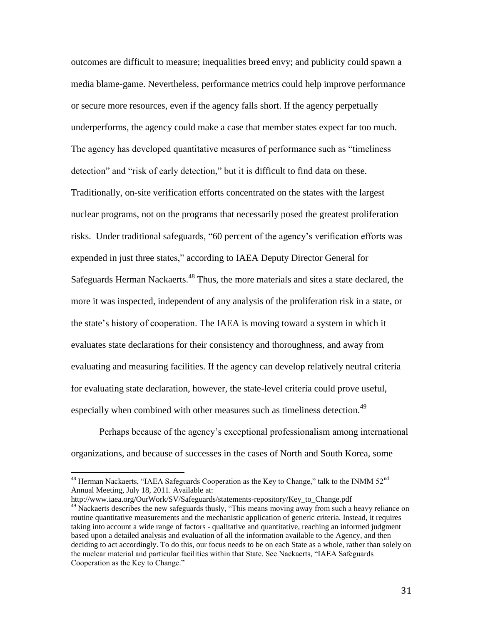outcomes are difficult to measure; inequalities breed envy; and publicity could spawn a media blame-game. Nevertheless, performance metrics could help improve performance or secure more resources, even if the agency falls short. If the agency perpetually underperforms, the agency could make a case that member states expect far too much. The agency has developed quantitative measures of performance such as "timeliness detection" and "risk of early detection," but it is difficult to find data on these. Traditionally, on-site verification efforts concentrated on the states with the largest nuclear programs, not on the programs that necessarily posed the greatest proliferation risks. Under traditional safeguards, "60 percent of the agency's verification efforts was expended in just three states," according to IAEA Deputy Director General for Safeguards Herman Nackaerts.<sup>48</sup> Thus, the more materials and sites a state declared, the more it was inspected, independent of any analysis of the proliferation risk in a state, or the state's history of cooperation. The IAEA is moving toward a system in which it evaluates state declarations for their consistency and thoroughness, and away from evaluating and measuring facilities. If the agency can develop relatively neutral criteria for evaluating state declaration, however, the state-level criteria could prove useful, especially when combined with other measures such as timeliness detection.<sup>49</sup>

Perhaps because of the agency's exceptional professionalism among international organizations, and because of successes in the cases of North and South Korea, some

http://www.iaea.org/OurWork/SV/Safeguards/statements-repository/Key\_to\_Change.pdf

 $48$  Herman Nackaerts, "IAEA Safeguards Cooperation as the Key to Change," talk to the INMM  $52<sup>nd</sup>$ Annual Meeting, July 18, 2011. Available at:

<sup>&</sup>lt;sup>49</sup> Nackaerts describes the new safeguards thusly, "This means moving away from such a heavy reliance on routine quantitative measurements and the mechanistic application of generic criteria. Instead, it requires taking into account a wide range of factors - qualitative and quantitative, reaching an informed judgment based upon a detailed analysis and evaluation of all the information available to the Agency, and then deciding to act accordingly. To do this, our focus needs to be on each State as a whole, rather than solely on the nuclear material and particular facilities within that State. See Nackaerts, "IAEA Safeguards Cooperation as the Key to Change."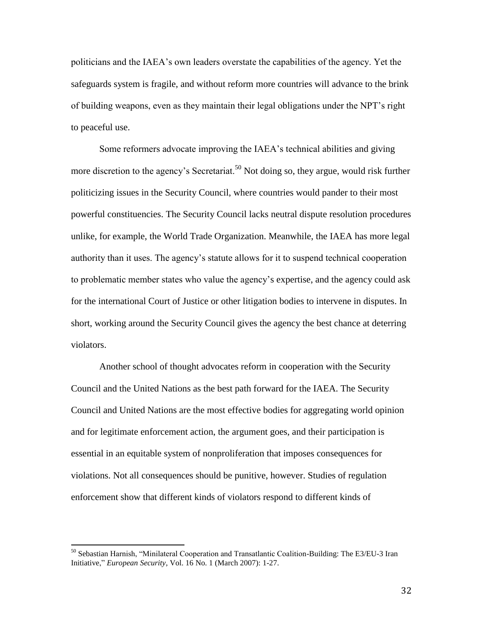politicians and the IAEA's own leaders overstate the capabilities of the agency. Yet the safeguards system is fragile, and without reform more countries will advance to the brink of building weapons, even as they maintain their legal obligations under the NPT's right to peaceful use.

Some reformers advocate improving the IAEA's technical abilities and giving more discretion to the agency's Secretariat.<sup>50</sup> Not doing so, they argue, would risk further politicizing issues in the Security Council, where countries would pander to their most powerful constituencies. The Security Council lacks neutral dispute resolution procedures unlike, for example, the World Trade Organization. Meanwhile, the IAEA has more legal authority than it uses. The agency's statute allows for it to suspend technical cooperation to problematic member states who value the agency's expertise, and the agency could ask for the international Court of Justice or other litigation bodies to intervene in disputes. In short, working around the Security Council gives the agency the best chance at deterring violators.

Another school of thought advocates reform in cooperation with the Security Council and the United Nations as the best path forward for the IAEA. The Security Council and United Nations are the most effective bodies for aggregating world opinion and for legitimate enforcement action, the argument goes, and their participation is essential in an equitable system of nonproliferation that imposes consequences for violations. Not all consequences should be punitive, however. Studies of regulation enforcement show that different kinds of violators respond to different kinds of

l

<sup>&</sup>lt;sup>50</sup> Sebastian Harnish, "Minilateral Cooperation and Transatlantic Coalition-Building: The E3/EU-3 Iran Initiative," *European Security*, Vol. 16 No. 1 (March 2007): 1-27.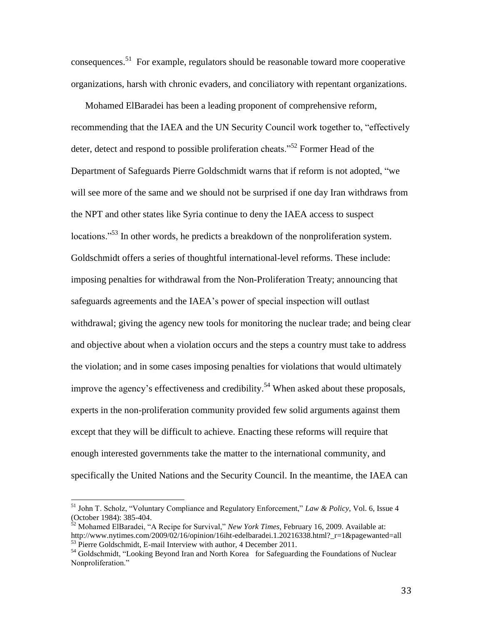consequences. 51 For example, regulators should be reasonable toward more cooperative organizations, harsh with chronic evaders, and conciliatory with repentant organizations.

Mohamed ElBaradei has been a leading proponent of comprehensive reform, recommending that the IAEA and the UN Security Council work together to, "effectively deter, detect and respond to possible proliferation cheats."<sup>52</sup> Former Head of the Department of Safeguards Pierre Goldschmidt warns that if reform is not adopted, "we will see more of the same and we should not be surprised if one day Iran withdraws from the NPT and other states like Syria continue to deny the IAEA access to suspect locations."<sup>53</sup> In other words, he predicts a breakdown of the nonproliferation system. Goldschmidt offers a series of thoughtful international-level reforms. These include: imposing penalties for withdrawal from the Non-Proliferation Treaty; announcing that safeguards agreements and the IAEA's power of special inspection will outlast withdrawal; giving the agency new tools for monitoring the nuclear trade; and being clear and objective about when a violation occurs and the steps a country must take to address the violation; and in some cases imposing penalties for violations that would ultimately improve the agency's effectiveness and credibility.<sup>54</sup> When asked about these proposals, experts in the non-proliferation community provided few solid arguments against them except that they will be difficult to achieve. Enacting these reforms will require that enough interested governments take the matter to the international community, and specifically the United Nations and the Security Council. In the meantime, the IAEA can

<sup>51</sup> John T. Scholz, "Voluntary Compliance and Regulatory Enforcement," *Law & Policy,* Vol. 6, Issue 4 (October 1984): 385-404.

<sup>52</sup> Mohamed ElBaradei, "A Recipe for Survival," *New York Times*, February 16, 2009. Available at: http://www.nytimes.com/2009/02/16/opinion/16iht-edelbaradei.1.20216338.html?\_r=1&pagewanted=all <sup>53</sup> Pierre Goldschmidt, E-mail Interview with author, 4 December 2011.

<sup>&</sup>lt;sup>54</sup> Goldschmidt, "Looking Beyond Iran and North Korea for Safeguarding the Foundations of Nuclear Nonproliferation."